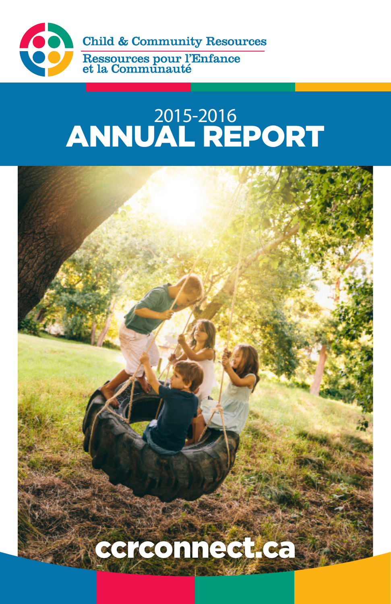

# 2015-2016 ANNUAL REPORT

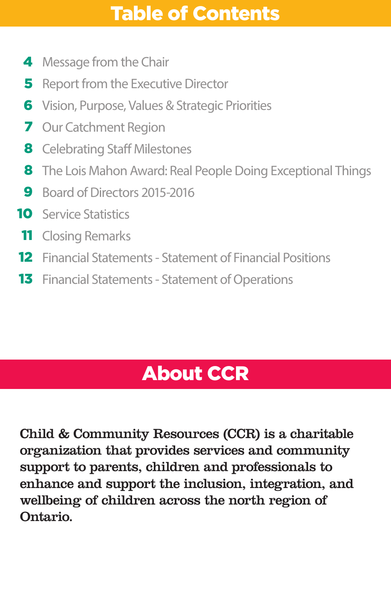### Table of Contents

- 4 Message from the Chair
- 5 Report from the Executive Director
- **6** Vision, Purpose, Values & Strategic Priorities
- 7 Our Catchment Region
- 8 Celebrating Staff Milestones
- 8 The Lois Mahon Award: Real People Doing Exceptional Things
- 9 Board of Directors 2015-2016
- 10 Service Statistics
- 11 Closing Remarks
- **12** Financial Statements Statement of Financial Positions
- **13** Financial Statements Statement of Operations

## About CCR

Child & Community Resources (CCR) is a charitable organization that provides services and community support to parents, children and professionals to enhance and support the inclusion, integration, and wellbeing of children across the north region of Ontario.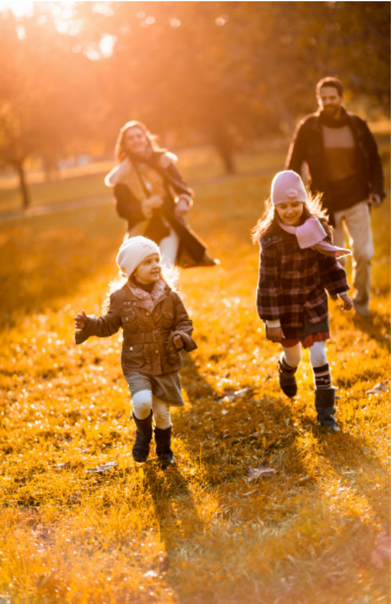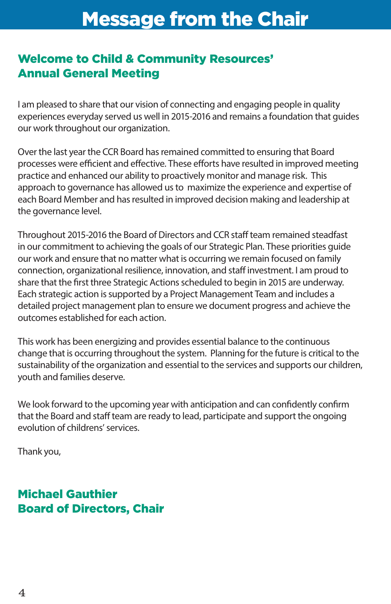### Message from the Chair

#### Welcome to Child & Community Resources' Annual General Meeting

I am pleased to share that our vision of connecting and engaging people in quality experiences everyday served us well in 2015-2016 and remains a foundation that guides our work throughout our organization.

Over the last year the CCR Board has remained committed to ensuring that Board processes were efficient and effective. These efforts have resulted in improved meeting practice and enhanced our ability to proactively monitor and manage risk. This approach to governance has allowed us to maximize the experience and expertise of each Board Member and has resulted in improved decision making and leadership at the governance level.

Throughout 2015-2016 the Board of Directors and CCR staff team remained steadfast in our commitment to achieving the goals of our Strategic Plan. These priorities guide our work and ensure that no matter what is occurring we remain focused on family connection, organizational resilience, innovation, and staff investment. I am proud to share that the first three Strategic Actions scheduled to begin in 2015 are underway. Each strategic action is supported by a Project Management Team and includes a detailed project management plan to ensure we document progress and achieve the outcomes established for each action.

This work has been energizing and provides essential balance to the continuous change that is occurring throughout the system. Planning for the future is critical to the sustainability of the organization and essential to the services and supports our children, youth and families deserve.

We look forward to the upcoming year with anticipation and can confidently confirm that the Board and staff team are ready to lead, participate and support the ongoing evolution of childrens' services.

Thank you,

#### Michael Gauthier Board of Directors, Chair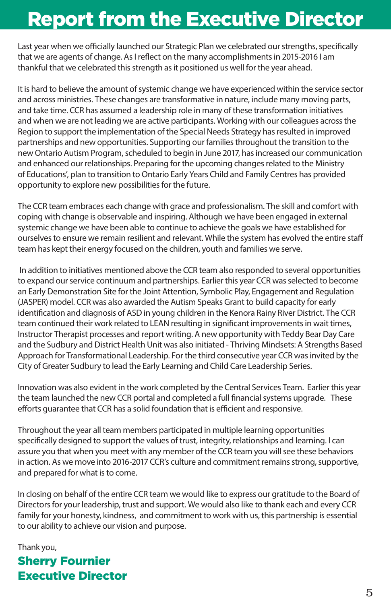## Report from the Executive Director

Last year when we officially launched our Strategic Plan we celebrated our strengths, specifically that we are agents of change. As I reflect on the many accomplishments in 2015-2016 I am thankful that we celebrated this strength as it positioned us well for the year ahead.

It is hard to believe the amount of systemic change we have experienced within the service sector and across ministries. These changes are transformative in nature, include many moving parts, and take time. CCR has assumed a leadership role in many of these transformation initiatives and when we are not leading we are active participants. Working with our colleagues across the Region to support the implementation of the Special Needs Strategy has resulted in improved partnerships and new opportunities. Supporting our families throughout the transition to the new Ontario Autism Program, scheduled to begin in June 2017, has increased our communication and enhanced our relationships. Preparing for the upcoming changes related to the Ministry of Educations', plan to transition to Ontario Early Years Child and Family Centres has provided opportunity to explore new possibilities for the future.

The CCR team embraces each change with grace and professionalism. The skill and comfort with coping with change is observable and inspiring. Although we have been engaged in external systemic change we have been able to continue to achieve the goals we have established for ourselves to ensure we remain resilient and relevant. While the system has evolved the entire staff team has kept their energy focused on the children, youth and families we serve.

 In addition to initiatives mentioned above the CCR team also responded to several opportunities to expand our service continuum and partnerships. Earlier this year CCR was selected to become an Early Demonstration Site for the Joint Attention, Symbolic Play, Engagement and Regulation (JASPER) model. CCR was also awarded the Autism Speaks Grant to build capacity for early identification and diagnosis of ASD in young children in the Kenora Rainy River District. The CCR team continued their work related to LEAN resulting in significant improvements in wait times, Instructor Therapist processes and report writing. A new opportunity with Teddy Bear Day Care and the Sudbury and District Health Unit was also initiated - Thriving Mindsets: A Strengths Based Approach for Transformational Leadership. For the third consecutive year CCR was invited by the City of Greater Sudbury to lead the Early Learning and Child Care Leadership Series.

Innovation was also evident in the work completed by the Central Services Team. Earlier this year the team launched the new CCR portal and completed a full financial systems upgrade. These efforts guarantee that CCR has a solid foundation that is efficient and responsive.

Throughout the year all team members participated in multiple learning opportunities specifically designed to support the values of trust, integrity, relationships and learning. I can assure you that when you meet with any member of the CCR team you will see these behaviors in action. As we move into 2016-2017 CCR's culture and commitment remains strong, supportive, and prepared for what is to come.

In closing on behalf of the entire CCR team we would like to express our gratitude to the Board of Directors for your leadership, trust and support. We would also like to thank each and every CCR family for your honesty, kindness, and commitment to work with us, this partnership is essential to our ability to achieve our vision and purpose.

Thank you, Sherry Fournier Executive Director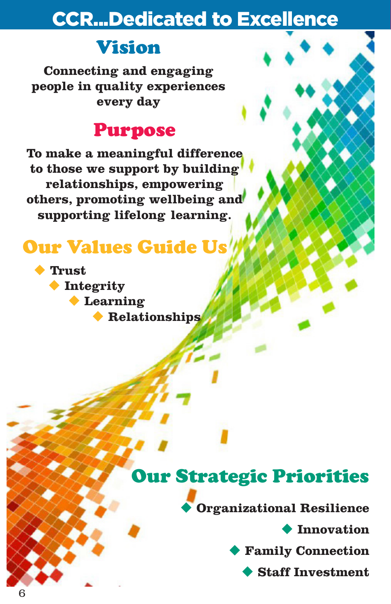### CCR...Dedicated to Excellence

### Vision

**Connecting and engaging people in quality experiences every day**

### Purpose

**To make a meaningful difference to those we support by building relationships, empowering others, promoting wellbeing and supporting lifelong learning.**

## Our Values Guide Us

 **Trust Integrity Learning Relationships**

## Our Strategic Priorities

**Organizational Resilience** 

**Innovation**

**Family Connection**

**Staff Investment**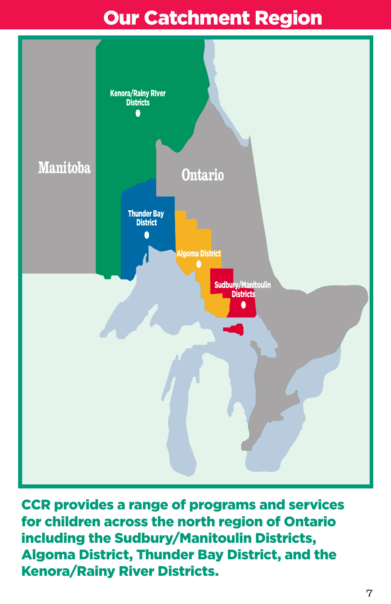### Our Catchment Region



CCR provides a range of programs and services for children across the north region of Ontario including the Sudbury/Manitoulin Districts, Algoma District, Thunder Bay District, and the Kenora/Rainy River Districts.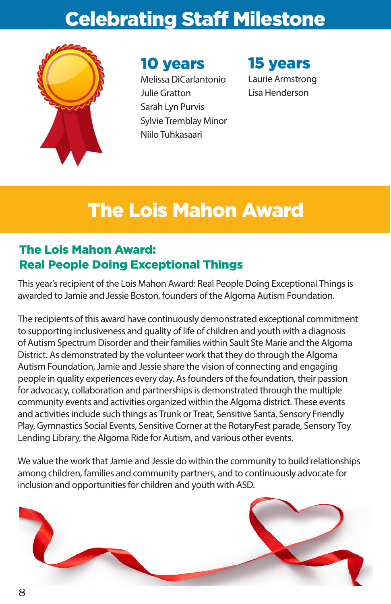## Celebrating Staff Milestone



### 10 years

Melissa DiCarlantonio Julie Gratton Sarah Lyn Purvis Sylvie Tremblay Minor Niilo Tuhkasaari

### 15 years

Laurie Armstrong Lisa Henderson

# The Lois Mahon Award

#### The Lois Mahon Award: Real People Doing Exceptional Things

This year's recipient of the Lois Mahon Award: Real People Doing Exceptional Things is awarded to Jamie and Jessie Boston, founders of the Algoma Autism Foundation.

The recipients of this award have continuously demonstrated exceptional commitment to supporting inclusiveness and quality of life of children and youth with a diagnosis of Autism Spectrum Disorder and their families within Sault Ste Marie and the Algoma District. As demonstrated by the volunteer work that they do through the Algoma Autism Foundation, Jamie and Jessie share the vision of connecting and engaging people in quality experiences every day. As founders of the foundation, their passion for advocacy, collaboration and partnerships is demonstrated through the multiple community events and activities organized within the Algoma district. These events and activities include such things as Trunk or Treat, Sensitive Santa, Sensory Friendly Play, Gymnastics Social Events, Sensitive Corner at the RotaryFest parade, Sensory Toy Lending Library, the Algoma Ride for Autism, and various other events.

We value the work that Jamie and Jessie do within the community to build relationships among children, families and community partners, and to continuously advocate for inclusion and opportunities for children and youth with ASD.

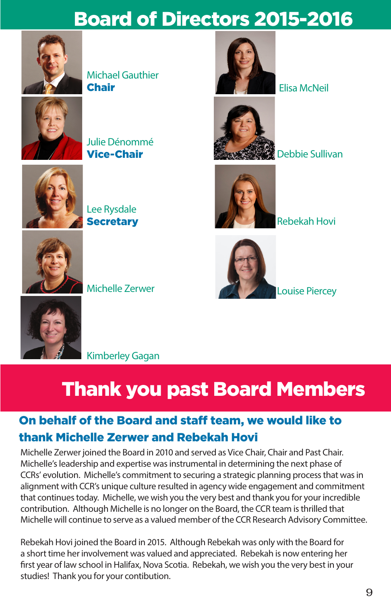## Board of Directors 2015-2016



Michael Gauthier Chair



Julie Dénommé Vice-Chair



Lee Rysdale **Secretary** 



Michelle Zerwer



Elisa McNeil



Debbie Sullivan



Rebekah Hovi



Louise Piercey



Kimberley Gagan

## Thank you past Board Members

#### On behalf of the Board and staff team, we would like to thank Michelle Zerwer and Rebekah Hovi

Michelle Zerwer joined the Board in 2010 and served as Vice Chair, Chair and Past Chair. Michelle's leadership and expertise was instrumental in determining the next phase of CCRs' evolution. Michelle's commitment to securing a strategic planning process that was in alignment with CCR's unique culture resulted in agency wide engagement and commitment that continues today. Michelle, we wish you the very best and thank you for your incredible contribution. Although Michelle is no longer on the Board, the CCR team is thrilled that Michelle will continue to serve as a valued member of the CCR Research Advisory Committee.

Rebekah Hovi joined the Board in 2015. Although Rebekah was only with the Board for a short time her involvement was valued and appreciated. Rebekah is now entering her first year of law school in Halifax, Nova Scotia. Rebekah, we wish you the very best in your studies! Thank you for your contibution.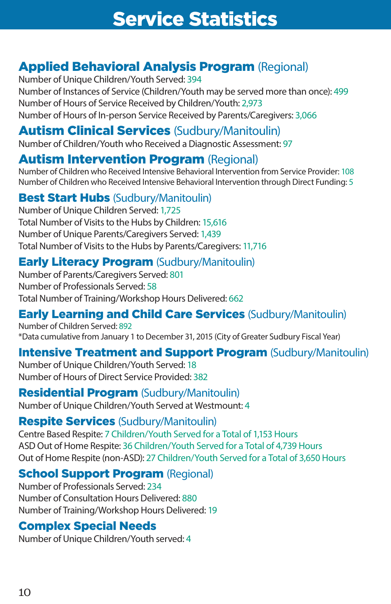### Service Statistics

### Applied Behavioral Analysis Program (Regional)

Number of Unique Children/Youth Served: 394 Number of Instances of Service (Children/Youth may be served more than once): 499 Number of Hours of Service Received by Children/Youth: 2,973 Number of Hours of In-person Service Received by Parents/Caregivers: 3,066

#### **Autism Clinical Services (Sudbury/Manitoulin)**

Number of Children/Youth who Received a Diagnostic Assessment: 97

#### **Autism Intervention Program (Regional)**

Number of Children who Received Intensive Behavioral Intervention from Service Provider: 108 Number of Children who Received Intensive Behavioral Intervention through Direct Funding: 5

#### **Best Start Hubs** (Sudbury/Manitoulin)

Number of Unique Children Served: 1,725 Total Number of Visits to the Hubs by Children: 15,616 Number of Unique Parents/Caregivers Served: 1,439 Total Number of Visits to the Hubs by Parents/Caregivers: 11,716

#### **Early Literacy Program (Sudbury/Manitoulin)**

Number of Parents/Caregivers Served: 801 Number of Professionals Served: 58 Total Number of Training/Workshop Hours Delivered: 662

#### Early Learning and Child Care Services (Sudbury/Manitoulin)

Number of Children Served: 892 \*Data cumulative from January 1 to December 31, 2015 (City of Greater Sudbury Fiscal Year)

#### **Intensive Treatment and Support Program (Sudbury/Manitoulin)**

Number of Unique Children/Youth Served: 18 Number of Hours of Direct Service Provided: 382

#### Residential Program (Sudbury/Manitoulin)

Number of Unique Children/Youth Served at Westmount: 4

#### **Respite Services** (Sudbury/Manitoulin)

Centre Based Respite: 7 Children/Youth Served for a Total of 1,153 Hours ASD Out of Home Respite: 36 Children/Youth Served for a Total of 4,739 Hours Out of Home Respite (non-ASD): 27 Children/Youth Served for a Total of 3,650 Hours

#### **School Support Program (Regional)**

Number of Professionals Served: 234 Number of Consultation Hours Delivered: 880 Number of Training/Workshop Hours Delivered: 19

#### Complex Special Needs

Number of Unique Children/Youth served: 4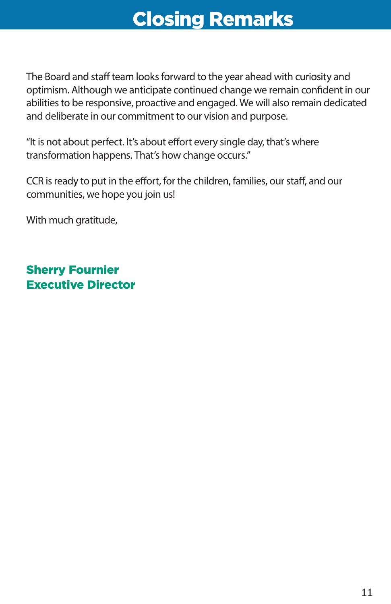### Closing Remarks

The Board and staff team looks forward to the year ahead with curiosity and optimism. Although we anticipate continued change we remain confident in our abilities to be responsive, proactive and engaged. We will also remain dedicated and deliberate in our commitment to our vision and purpose.

"It is not about perfect. It's about effort every single day, that's where transformation happens. That's how change occurs."

CCR is ready to put in the effort, for the children, families, our staff, and our communities, we hope you join us!

With much gratitude,

Sherry Fournier Executive Director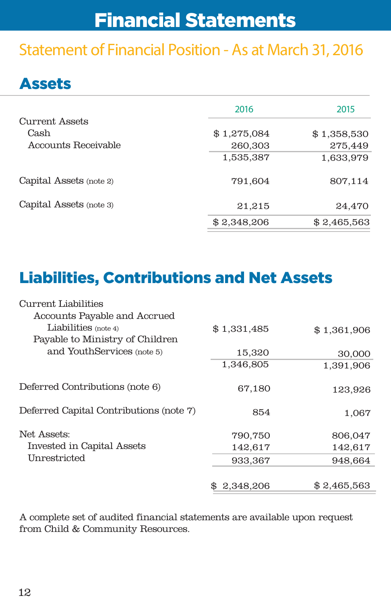### Statement of Financial Position - As at March 31, 2016

### Assets

| 2016        | 2015        |
|-------------|-------------|
|             | \$1,358,530 |
| 260,303     | 275,449     |
| 1,535,387   | 1,633,979   |
| 791,604     | 807,114     |
| 21,215      | 24,470      |
| \$2,348,206 | \$2,465,563 |
|             | \$1,275,084 |

### Liabilities, Contributions and Net Assets

| Current Liabilities                                       |             |             |
|-----------------------------------------------------------|-------------|-------------|
| Accounts Payable and Accrued                              |             |             |
| Liabilities $(\text{note } 4)$                            | \$1,331,485 | \$1,361,906 |
| Payable to Ministry of Children                           |             |             |
| and YouthServices (note 5)                                | 15,320      | 30,000      |
|                                                           | 1,346,805   | 1,391,906   |
| Deferred Contributions (note 6)                           | 67,180      | 123,926     |
| Deferred Capital Contributions (note 7)                   | 854         | 1,067       |
|                                                           |             |             |
| Net Assets:<br>Invested in Capital Assets<br>Unrestricted | 790,750     | 806,047     |
|                                                           | 142,617     | 142,617     |
|                                                           | 933,367     | 948,664     |
|                                                           |             |             |
|                                                           | 2,348,206   | \$2,465,563 |

A complete set of audited financial statements are available upon request from Child & Community Resources.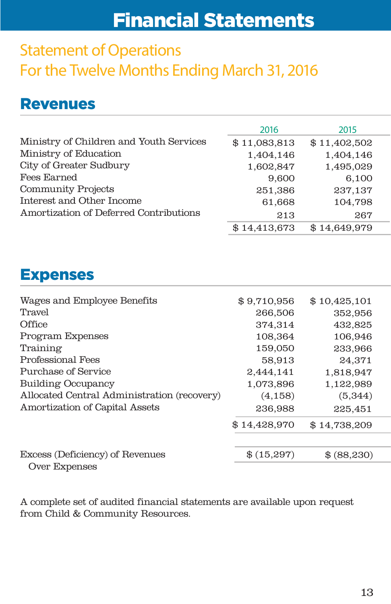### Financial Statements

### Statement of Operations For the Twelve Months Ending March 31, 2016

#### Revenues

|                                         | 2016         | 2015         |
|-----------------------------------------|--------------|--------------|
| Ministry of Children and Youth Services | \$11,083,813 | \$11,402,502 |
| Ministry of Education                   | 1,404,146    | 1,404,146    |
| City of Greater Sudbury                 | 1,602,847    | 1,495,029    |
| Fees Earned                             | 9,600        | 6,100        |
| <b>Community Projects</b>               | 251,386      | 237,137      |
| Interest and Other Income               | 61,668       | 104,798      |
| Amortization of Deferred Contributions  | 213          | 267          |
|                                         | \$14,413,673 | \$14.649.979 |

### Expenses

| Wages and Employee Benefits                 | \$9,710,956  | \$10,425,101 |  |
|---------------------------------------------|--------------|--------------|--|
| Travel                                      | 266,506      | 352,956      |  |
| Office                                      | 374,314      | 432,825      |  |
| Program Expenses                            | 108,364      | 106,946      |  |
| Training                                    | 159,050      | 233,966      |  |
| <b>Professional Fees</b>                    | 58,913       | 24,371       |  |
| Purchase of Service                         | 2,444,141    | 1,818,947    |  |
| <b>Building Occupancy</b>                   | 1,073,896    | 1,122,989    |  |
| Allocated Central Administration (recovery) | (4, 158)     | (5,344)      |  |
| Amortization of Capital Assets              | 236,988      | 225.451      |  |
|                                             | \$14,428,970 | \$14,738,209 |  |
|                                             |              |              |  |
| Excess (Deficiency) of Revenues             | \$(15,297)   | \$ (88,230)  |  |
| Over Expenses                               |              |              |  |

A complete set of audited financial statements are available upon request from Child & Community Resources.